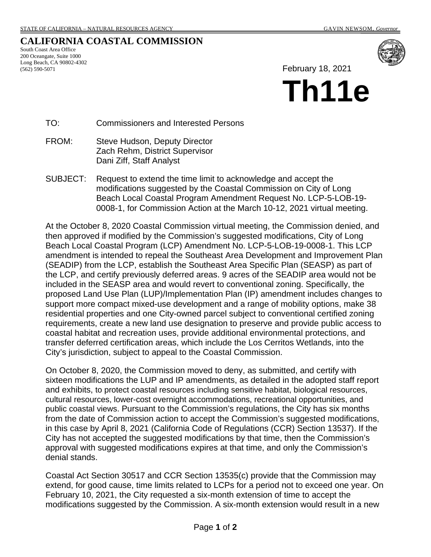## **CALIFORNIA COASTAL COMMISSION**

South Coast Area Office 200 Oceangate, Suite 1000 Long Beach, CA 90802-4302 (562) 590-5071



February 18, 2021

# **Th11e**

TO: Commissioners and Interested Persons

- FROM: Steve Hudson, Deputy Director Zach Rehm, District Supervisor Dani Ziff, Staff Analyst
- SUBJECT: Request to extend the time limit to acknowledge and accept the modifications suggested by the Coastal Commission on City of Long Beach Local Coastal Program Amendment Request No. LCP-5-LOB-19- 0008-1, for Commission Action at the March 10-12, 2021 virtual meeting.

At the October 8, 2020 Coastal Commission virtual meeting, the Commission denied, and then approved if modified by the Commission's suggested modifications, City of Long Beach Local Coastal Program (LCP) Amendment No. LCP-5-LOB-19-0008-1. This LCP amendment is intended to repeal the Southeast Area Development and Improvement Plan (SEADIP) from the LCP, establish the Southeast Area Specific Plan (SEASP) as part of the LCP, and certify previously deferred areas. 9 acres of the SEADIP area would not be included in the SEASP area and would revert to conventional zoning. Specifically, the proposed Land Use Plan (LUP)/Implementation Plan (IP) amendment includes changes to support more compact mixed-use development and a range of mobility options, make 38 residential properties and one City-owned parcel subject to conventional certified zoning requirements, create a new land use designation to preserve and provide public access to coastal habitat and recreation uses, provide additional environmental protections, and transfer deferred certification areas, which include the Los Cerritos Wetlands, into the City's jurisdiction, subject to appeal to the Coastal Commission.

On October 8, 2020, the Commission moved to deny, as submitted, and certify with sixteen modifications the LUP and IP amendments, as detailed in the adopted staff report and exhibits, to protect coastal resources including sensitive habitat, biological resources, cultural resources, lower-cost overnight accommodations, recreational opportunities, and public coastal views. Pursuant to the Commission's regulations, the City has six months from the date of Commission action to accept the Commission's suggested modifications, in this case by April 8, 2021 (California Code of Regulations (CCR) Section 13537). If the City has not accepted the suggested modifications by that time, then the Commission's approval with suggested modifications expires at that time, and only the Commission's denial stands.

Coastal Act Section 30517 and CCR Section 13535(c) provide that the Commission may extend, for good cause, time limits related to LCPs for a period not to exceed one year. On February 10, 2021, the City requested a six-month extension of time to accept the modifications suggested by the Commission. A six-month extension would result in a new